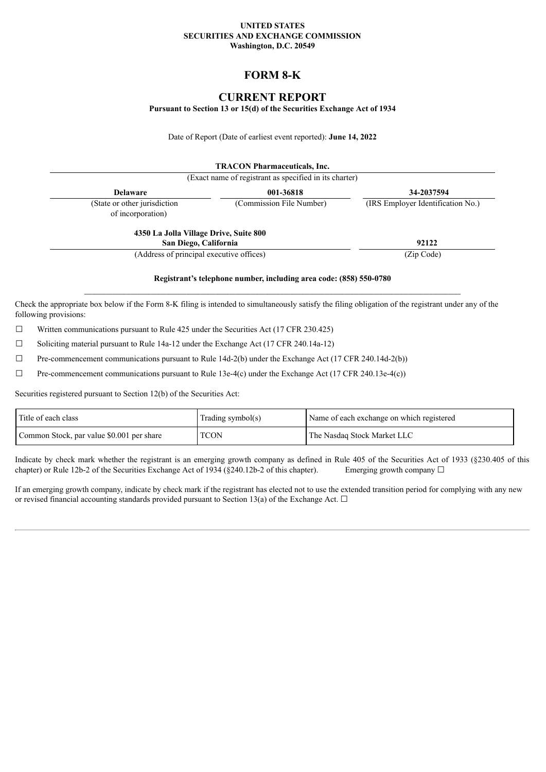#### **UNITED STATES SECURITIES AND EXCHANGE COMMISSION Washington, D.C. 20549**

# **FORM 8-K**

## **CURRENT REPORT**

**Pursuant to Section 13 or 15(d) of the Securities Exchange Act of 1934**

Date of Report (Date of earliest event reported): **June 14, 2022**

|                                                   | <b>TRACON Pharmaceuticals, Inc.</b><br>(Exact name of registrant as specified in its charter) |                                   |
|---------------------------------------------------|-----------------------------------------------------------------------------------------------|-----------------------------------|
| <b>Delaware</b>                                   | 001-36818                                                                                     | 34-2037594                        |
| (State or other jurisdiction<br>of incorporation) | (Commission File Number)                                                                      | (IRS Employer Identification No.) |
| 4350 La Jolla Village Drive, Suite 800            |                                                                                               |                                   |
| San Diego, California                             |                                                                                               | 92122                             |
| (Address of principal executive offices)          |                                                                                               | (Zip Code)                        |
|                                                   |                                                                                               |                                   |

**Registrant's telephone number, including area code: (858) 550-0780**  $\mathcal{L}_\text{max} = \mathcal{L}_\text{max} = \mathcal{L}_\text{max} = \mathcal{L}_\text{max} = \mathcal{L}_\text{max} = \mathcal{L}_\text{max} = \mathcal{L}_\text{max} = \mathcal{L}_\text{max} = \mathcal{L}_\text{max} = \mathcal{L}_\text{max} = \mathcal{L}_\text{max} = \mathcal{L}_\text{max} = \mathcal{L}_\text{max} = \mathcal{L}_\text{max} = \mathcal{L}_\text{max} = \mathcal{L}_\text{max} = \mathcal{L}_\text{max} = \mathcal{L}_\text{max} = \mathcal{$ 

Check the appropriate box below if the Form 8-K filing is intended to simultaneously satisfy the filing obligation of the registrant under any of the following provisions:

 $\Box$  Written communications pursuant to Rule 425 under the Securities Act (17 CFR 230.425)

☐ Soliciting material pursuant to Rule 14a-12 under the Exchange Act (17 CFR 240.14a-12)

☐ Pre-commencement communications pursuant to Rule 14d-2(b) under the Exchange Act (17 CFR 240.14d-2(b))

 $\Box$  Pre-commencement communications pursuant to Rule 13e-4(c) under the Exchange Act (17 CFR 240.13e-4(c))

Securities registered pursuant to Section 12(b) of the Securities Act:

| Title of each class                       | Trading symbol(s) | Name of each exchange on which registered |
|-------------------------------------------|-------------------|-------------------------------------------|
| Common Stock, par value \$0.001 per share | <b>TCON</b>       | The Nasdaq Stock Market LLC               |

Indicate by check mark whether the registrant is an emerging growth company as defined in Rule 405 of the Securities Act of 1933 (§230.405 of this chapter) or Rule 12b-2 of the Securities Exchange Act of 1934 (§240.12b-2 of this chapter). Emerging growth company  $\Box$ 

If an emerging growth company, indicate by check mark if the registrant has elected not to use the extended transition period for complying with any new or revised financial accounting standards provided pursuant to Section 13(a) of the Exchange Act.  $\Box$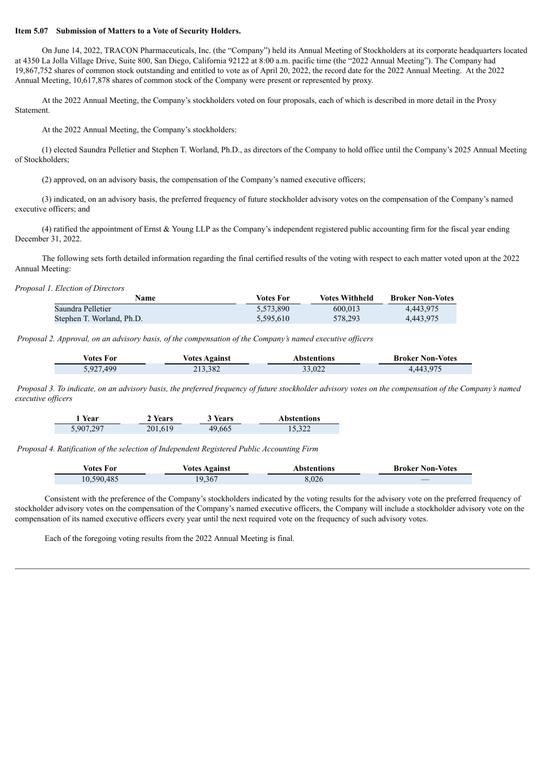#### **Item 5.07 Submission of Matters to a Vote of Security Holders.**

On June 14, 2022, TRACON Pharmaceuticals, Inc. (the "Company") held its Annual Meeting of Stockholders at its corporate headquarters located at 4350 La Jolla Village Drive, Suite 800, San Diego, California 92122 at 8:00 a.m. pacific time (the "2022 Annual Meeting"). The Company had 19,867,752 shares of common stock outstanding and entitled to vote as of April 20, 2022, the record date for the 2022 Annual Meeting. At the 2022 Annual Meeting, 10,617,878 shares of common stock of the Company were present or represented by proxy.

At the 2022 Annual Meeting, the Company's stockholders voted on four proposals, each of which is described in more detail in the Proxy Statement.

At the 2022 Annual Meeting, the Company's stockholders:

(1) elected Saundra Pelletier and Stephen T. Worland, Ph.D., as directors of the Company to hold office until the Company's 2025 Annual Meeting of Stockholders;

(2) approved, on an advisory basis, the compensation of the Company's named executive officers;

(3) indicated, on an advisory basis, the preferred frequency of future stockholder advisory votes on the compensation of the Company's named executive officers; and

(4) ratified the appointment of Ernst & Young LLP as the Company's independent registered public accounting firm for the fiscal year ending December 31, 2022.

The following sets forth detailed information regarding the final certified results of the voting with respect to each matter voted upon at the 2022 Annual Meeting:

*Proposal 1. Election of Directors*

Ξ

| Name                      | Votes For | <b>Votes Withheld</b> | <b>Broker Non-Votes</b> |
|---------------------------|-----------|-----------------------|-------------------------|
| Saundra Pelletier         | 5.573.890 | 600.013               | 4.443.975               |
| Stephen T. Worland, Ph.D. | 5.595.610 | 578.293               | 4.443.975               |

*Proposal 2. Approval, on an advisory basis, of the compensation of the Company's named executive of icers*

| <b>Votes For</b> | <b>Votes Against</b> | Abstentions | <b>Broker Non-Votes</b> |
|------------------|----------------------|-------------|-------------------------|
| 5,927,499        | 213,382              | 33,022      | 4.443.975               |

Proposal 3. To indicate, on an advisory basis, the preferred frequency of future stockholder advisory votes on the compensation of the Company's named *executive of icers*

| 1 Year    | 2 Years | 3 Years | <b>Abstentions</b> |
|-----------|---------|---------|--------------------|
| 5,907,297 | 201.619 | 49.665  | 15,322             |

*Proposal 4. Ratification of the selection of Independent Registered Public Accounting Firm*

| <i>Votes</i> For | <b>Votes Against</b> | Abstentions | <b>Broker Non-Votes</b> |
|------------------|----------------------|-------------|-------------------------|
| 10,590,485       | 19,367               | 8,026       |                         |

Consistent with the preference of the Company's stockholders indicated by the voting results for the advisory vote on the preferred frequency of stockholder advisory votes on the compensation of the Company's named executive officers, the Company will include a stockholder advisory vote on the compensation of its named executive officers every year until the next required vote on the frequency of such advisory votes.

Each of the foregoing voting results from the 2022 Annual Meeting is final.